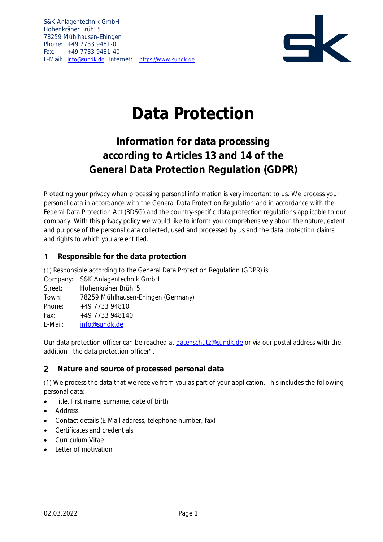S&K Anlagentechnik GmbH Hohenkräher Brühl 5 78259 Mühlhausen-Ehingen Phone: +49 7733 9481-0 Fax: +49 7733 9481-40 E-Mail: [info@sundk.de,](mailto:info@sundk.de) Internet: [https://www.sundk.de](https://www.sundk.de/)



# **Data Protection**

## **Information for data processing according to Articles 13 and 14 of the General Data Protection Regulation (GDPR)**

Protecting your privacy when processing personal information is very important to us. We process your personal data in accordance with the General Data Protection Regulation and in accordance with the Federal Data Protection Act (BDSG) and the country-specific data protection regulations applicable to our company. With this privacy policy we would like to inform you comprehensively about the nature, extent and purpose of the personal data collected, used and processed by us and the data protection claims and rights to which you are entitled.

#### **Responsible for the data protection**  $\mathbf 1$

(1) Responsible according to the General Data Protection Regulation (GDPR) is:

Company: S&K Anlagentechnik GmbH Street: Hohenkräher Brühl 5 Town: 78259 Mühlhausen-Ehingen (Germany) Phone: +49 7733 94810 Fax: +49 7733 948140 E-Mail: [info@sundk.de](mailto:info@sundk.de)

Our data protection officer can be reached at [datenschutz@sundk.de](mailto:datenschutz@sundk.de) or via our postal address with the addition "the data protection officer".

#### $\overline{2}$ **Nature and source of processed personal data**

We process the data that we receive from you as part of your application. This includes the following personal data:

- Title, first name, surname, date of birth
- Address
- Contact details (E-Mail address, telephone number, fax)
- Certificates and credentials
- Curriculum Vitae
- Letter of motivation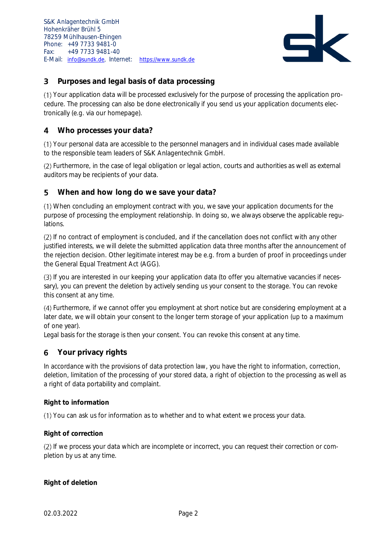

#### $\overline{\mathbf{3}}$ **Purposes and legal basis of data processing**

Your application data will be processed exclusively for the purpose of processing the application procedure. The processing can also be done electronically if you send us your application documents electronically (e.g. via our homepage).

#### **Who processes your data?** 4

Your personal data are accessible to the personnel managers and in individual cases made available to the responsible team leaders of S&K Anlagentechnik GmbH.

Furthermore, in the case of legal obligation or legal action, courts and authorities as well as external auditors may be recipients of your data.

#### 5 **When and how long do we save your data?**

When concluding an employment contract with you, we save your application documents for the purpose of processing the employment relationship. In doing so, we always observe the applicable regulations.

(2) If no contract of employment is concluded, and if the cancellation does not conflict with any other justified interests, we will delete the submitted application data three months after the announcement of the rejection decision. Other legitimate interest may be e.g. from a burden of proof in proceedings under the General Equal Treatment Act (AGG).

If you are interested in our keeping your application data (to offer you alternative vacancies if necessary), you can prevent the deletion by actively sending us your consent to the storage. You can revoke this consent at any time.

Furthermore, if we cannot offer you employment at short notice but are considering employment at a later date, we will obtain your consent to the longer term storage of your application (up to a maximum of one year).

Legal basis for the storage is then your consent. You can revoke this consent at any time.

#### **Your privacy rights** 6

In accordance with the provisions of data protection law, you have the right to information, correction, deletion, limitation of the processing of your stored data, a right of objection to the processing as well as a right of data portability and complaint.

### **Right to information**

You can ask us for information as to whether and to what extent we process your data.

### **Right of correction**

(2) If we process your data which are incomplete or incorrect, you can request their correction or completion by us at any time.

**Right of deletion**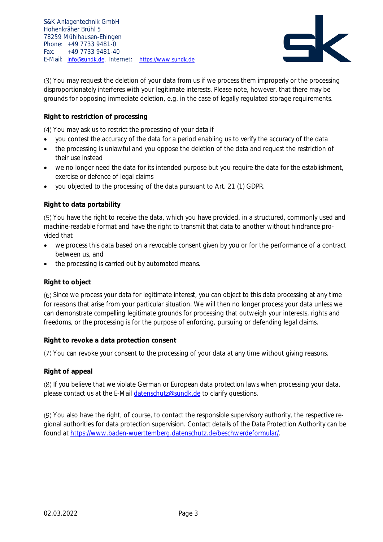S&K Anlagentechnik GmbH Hohenkräher Brühl 5 78259 Mühlhausen-Ehingen Phone: +49 7733 9481-0 Fax: +49 7733 9481-40 E-Mail: [info@sundk.de,](mailto:info@sundk.de) Internet: [https://www.sundk.de](https://www.sundk.de/)



(3) You may request the deletion of your data from us if we process them improperly or the processing disproportionately interferes with your legitimate interests. Please note, however, that there may be grounds for opposing immediate deletion, e.g. in the case of legally regulated storage requirements.

### **Right to restriction of processing**

You may ask us to restrict the processing of your data if

- you contest the accuracy of the data for a period enabling us to verify the accuracy of the data
- the processing is unlawful and you oppose the deletion of the data and request the restriction of their use instead
- we no longer need the data for its intended purpose but you require the data for the establishment, exercise or defence of legal claims
- you objected to the processing of the data pursuant to Art. 21 (1) GDPR.

### **Right to data portability**

You have the right to receive the data, which you have provided, in a structured, commonly used and machine-readable format and have the right to transmit that data to another without hindrance provided that

- we process this data based on a revocable consent given by you or for the performance of a contract between us, and
- the processing is carried out by automated means.

### **Right to object**

(6) Since we process your data for legitimate interest, you can object to this data processing at any time for reasons that arise from your particular situation. We will then no longer process your data unless we can demonstrate compelling legitimate grounds for processing that outweigh your interests, rights and freedoms, or the processing is for the purpose of enforcing, pursuing or defending legal claims.

### **Right to revoke a data protection consent**

You can revoke your consent to the processing of your data at any time without giving reasons.

### **Right of appeal**

If you believe that we violate German or European data protection laws when processing your data, please contact us at the E-Mail datenschutz@sundk.de to clarify questions.

You also have the right, of course, to contact the responsible supervisory authority, the respective regional authorities for data protection supervision. Contact details of the Data Protection Authority can be found at [https://www.baden-wuerttemberg.datenschutz.de/beschwerdeformular/.](https://www.baden-wuerttemberg.datenschutz.de/beschwerdeformular/)